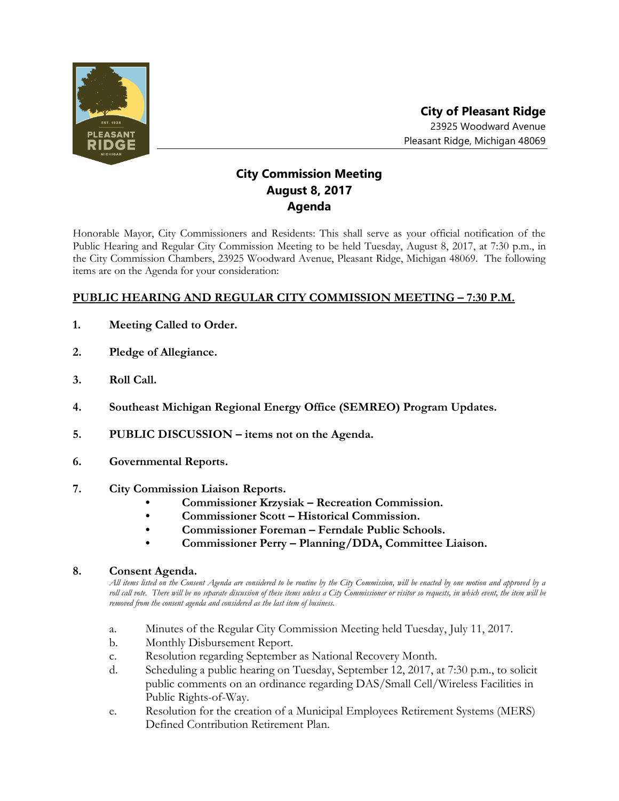

## **City Commission Meeting August 8, 2017 Agenda**

Honorable Mayor, City Commissioners and Residents: This shall serve as your official notification of the Public Hearing and Regular City Commission Meeting to be held Tuesday, August 8, 2017, at 7:30 p.m., in the City Commission Chambers, 23925 Woodward Avenue, Pleasant Ridge, Michigan 48069. The following items are on the Agenda for your consideration:

## **PUBLIC HEARING AND REGULAR CITY COMMISSION MEETING – 7:30 P.M.**

- **1. Meeting Called to Order.**
- **2. Pledge of Allegiance.**
- **3. Roll Call.**
- **4. Southeast Michigan Regional Energy Office (SEMREO) Program Updates.**
- **5. PUBLIC DISCUSSION – items not on the Agenda.**
- **6. Governmental Reports.**
- **7. City Commission Liaison Reports.**
	- **• Commissioner Krzysiak – Recreation Commission.**
	- **• Commissioner Scott – Historical Commission.**
	- **• Commissioner Foreman – Ferndale Public Schools.**
	- **• Commissioner Perry – Planning/DDA, Committee Liaison.**

## **8. Consent Agenda.**

*All items listed on the Consent Agenda are considered to be routine by the City Commission, will be enacted by one motion and approved by a*  roll call vote. There will be no separate discussion of these items unless a City Commissioner or visitor so requests, in which event, the item will be *removed from the consent agenda and considered as the last item of business.*

- a. Minutes of the Regular City Commission Meeting held Tuesday, July 11, 2017.
- b. Monthly Disbursement Report.
- c. Resolution regarding September as National Recovery Month.
- d. Scheduling a public hearing on Tuesday, September 12, 2017, at 7:30 p.m., to solicit public comments on an ordinance regarding DAS/Small Cell/Wireless Facilities in Public Rights-of-Way.
- e. Resolution for the creation of a Municipal Employees Retirement Systems (MERS) Defined Contribution Retirement Plan.